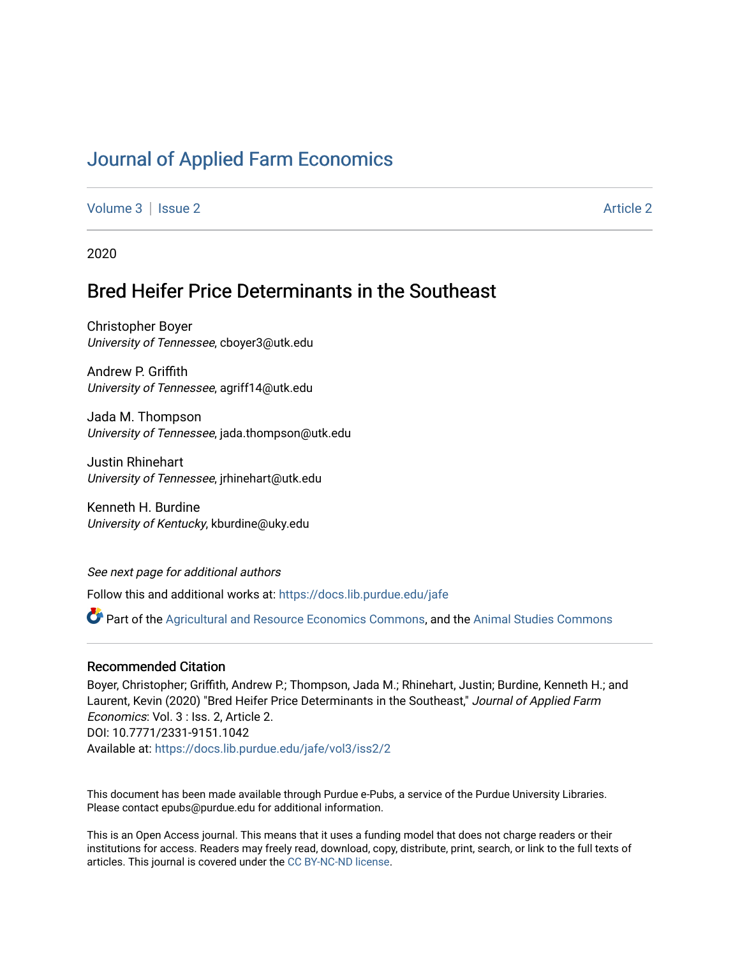# [Journal of Applied Farm Economics](https://docs.lib.purdue.edu/jafe)

[Volume 3](https://docs.lib.purdue.edu/jafe/vol3) | [Issue 2](https://docs.lib.purdue.edu/jafe/vol3/iss2) [Article 2](https://docs.lib.purdue.edu/jafe/vol3/iss2/2) Article 2 Article 2 Article 2 Article 2 Article 2 Article 2 Article 2 Article 2 Article 2 Article 2 Article 2 Article 2 Article 2 Article 2 Article 2 Article 2 Article 2 Article 2 Article 2 Art

2020

# Bred Heifer Price Determinants in the Southeast

Christopher Boyer University of Tennessee, cboyer3@utk.edu

Andrew P. Griffith University of Tennessee, agriff14@utk.edu

Jada M. Thompson University of Tennessee, jada.thompson@utk.edu

Justin Rhinehart University of Tennessee, jrhinehart@utk.edu

Kenneth H. Burdine University of Kentucky, kburdine@uky.edu

See next page for additional authors

Follow this and additional works at: [https://docs.lib.purdue.edu/jafe](https://docs.lib.purdue.edu/jafe?utm_source=docs.lib.purdue.edu%2Fjafe%2Fvol3%2Fiss2%2F2&utm_medium=PDF&utm_campaign=PDFCoverPages)

Part of the [Agricultural and Resource Economics Commons,](http://network.bepress.com/hgg/discipline/317?utm_source=docs.lib.purdue.edu%2Fjafe%2Fvol3%2Fiss2%2F2&utm_medium=PDF&utm_campaign=PDFCoverPages) and the [Animal Studies Commons](http://network.bepress.com/hgg/discipline/1306?utm_source=docs.lib.purdue.edu%2Fjafe%2Fvol3%2Fiss2%2F2&utm_medium=PDF&utm_campaign=PDFCoverPages)

## Recommended Citation

Boyer, Christopher; Griffith, Andrew P.; Thompson, Jada M.; Rhinehart, Justin; Burdine, Kenneth H.; and Laurent, Kevin (2020) "Bred Heifer Price Determinants in the Southeast," Journal of Applied Farm Economics: Vol. 3 : Iss. 2, Article 2. DOI: 10.7771/2331-9151.1042 Available at: [https://docs.lib.purdue.edu/jafe/vol3/iss2/2](https://docs.lib.purdue.edu/jafe/vol3/iss2/2?utm_source=docs.lib.purdue.edu%2Fjafe%2Fvol3%2Fiss2%2F2&utm_medium=PDF&utm_campaign=PDFCoverPages)

This document has been made available through Purdue e-Pubs, a service of the Purdue University Libraries. Please contact epubs@purdue.edu for additional information.

This is an Open Access journal. This means that it uses a funding model that does not charge readers or their institutions for access. Readers may freely read, download, copy, distribute, print, search, or link to the full texts of articles. This journal is covered under the [CC BY-NC-ND license](https://creativecommons.org/licenses/by-nc-nd/4.0/).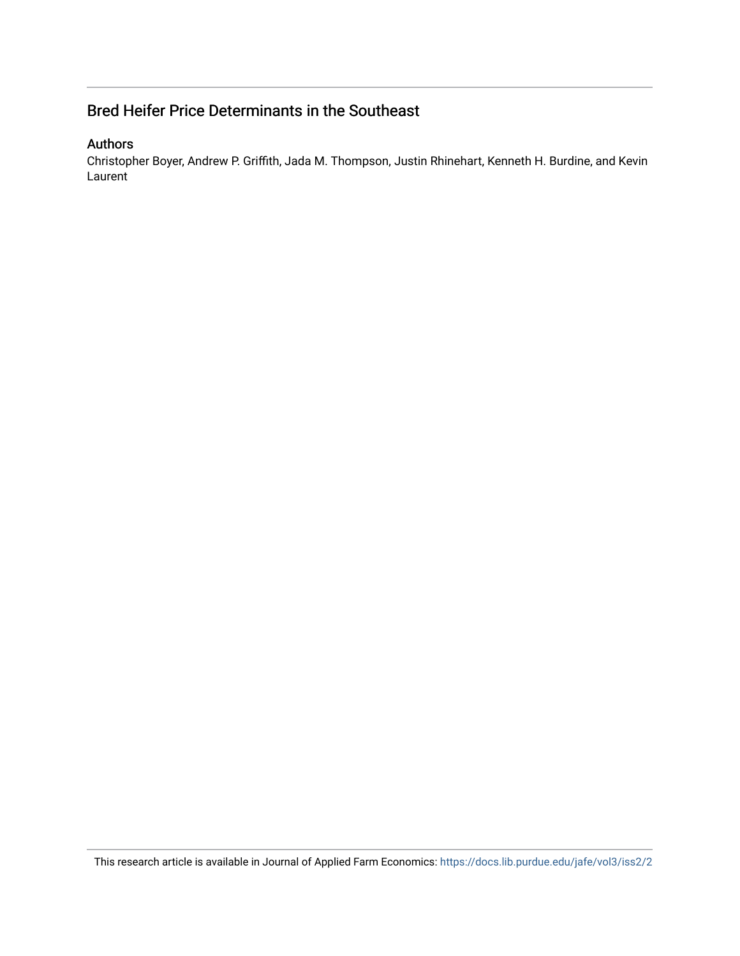# Bred Heifer Price Determinants in the Southeast

## Authors

Christopher Boyer, Andrew P. Griffith, Jada M. Thompson, Justin Rhinehart, Kenneth H. Burdine, and Kevin Laurent

This research article is available in Journal of Applied Farm Economics:<https://docs.lib.purdue.edu/jafe/vol3/iss2/2>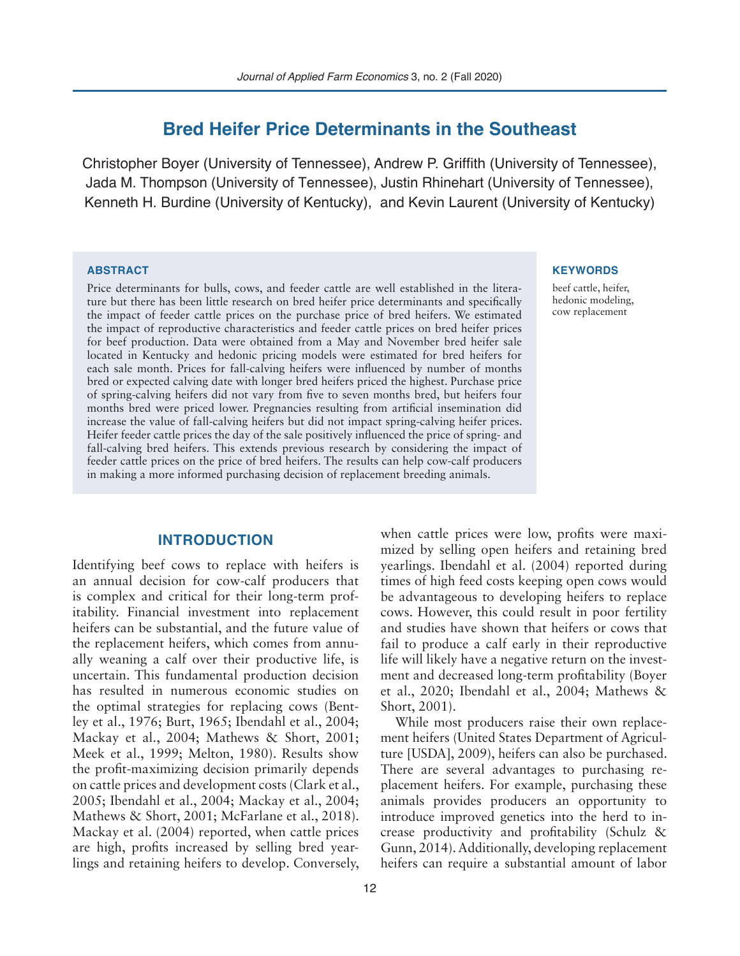# **Bred Heifer Price Determinants in the Southeast**

Christopher Boyer (University of Tennessee), Andrew P. Griffith (University of Tennessee), Jada M. Thompson (University of Tennessee), Justin Rhinehart (University of Tennessee), Kenneth H. Burdine (University of Kentucky), and Kevin Laurent (University of Kentucky)

### **ABSTRACT**

Price determinants for bulls, cows, and feeder cattle are well established in the literature but there has been little research on bred heifer price determinants and specifically the impact of feeder cattle prices on the purchase price of bred heifers. We estimated the impact of reproductive characteristics and feeder cattle prices on bred heifer prices for beef production. Data were obtained from a May and November bred heifer sale located in Kentucky and hedonic pricing models were estimated for bred heifers for each sale month. Prices for fall-calving heifers were influenced by number of months bred or expected calving date with longer bred heifers priced the highest. Purchase price of spring-calving heifers did not vary from five to seven months bred, but heifers four months bred were priced lower. Pregnancies resulting from artificial insemination did increase the value of fall-calving heifers but did not impact spring-calving heifer prices. Heifer feeder cattle prices the day of the sale positively influenced the price of spring- and fall-calving bred heifers. This extends previous research by considering the impact of feeder cattle prices on the price of bred heifers. The results can help cow-calf producers in making a more informed purchasing decision of replacement breeding animals.

### **INTRODUCTION**

Identifying beef cows to replace with heifers is an annual decision for cow-calf producers that is complex and critical for their long-term profitability. Financial investment into replacement heifers can be substantial, and the future value of the replacement heifers, which comes from annually weaning a calf over their productive life, is uncertain. This fundamental production decision has resulted in numerous economic studies on the optimal strategies for replacing cows (Bentley et al., 1976; Burt, 1965; Ibendahl et al., 2004; Mackay et al., 2004; Mathews & Short, 2001; Meek et al., 1999; Melton, 1980). Results show the profit-maximizing decision primarily depends on cattle prices and development costs (Clark et al., 2005; Ibendahl et al., 2004; Mackay et al., 2004; Mathews & Short, 2001; McFarlane et al., 2018). Mackay et al. (2004) reported, when cattle prices are high, profits increased by selling bred yearlings and retaining heifers to develop. Conversely,

#### **KEYWORDS**

beef cattle, heifer, hedonic modeling, cow replacement

when cattle prices were low, profits were maximized by selling open heifers and retaining bred yearlings. Ibendahl et al. (2004) reported during times of high feed costs keeping open cows would be advantageous to developing heifers to replace cows. However, this could result in poor fertility and studies have shown that heifers or cows that fail to produce a calf early in their reproductive life will likely have a negative return on the investment and decreased long-term profitability (Boyer et al., 2020; Ibendahl et al., 2004; Mathews & Short, 2001).

While most producers raise their own replacement heifers (United States Department of Agriculture [USDA], 2009), heifers can also be purchased. There are several advantages to purchasing replacement heifers. For example, purchasing these animals provides producers an opportunity to introduce improved genetics into the herd to increase productivity and profitability (Schulz & Gunn, 2014). Additionally, developing replacement heifers can require a substantial amount of labor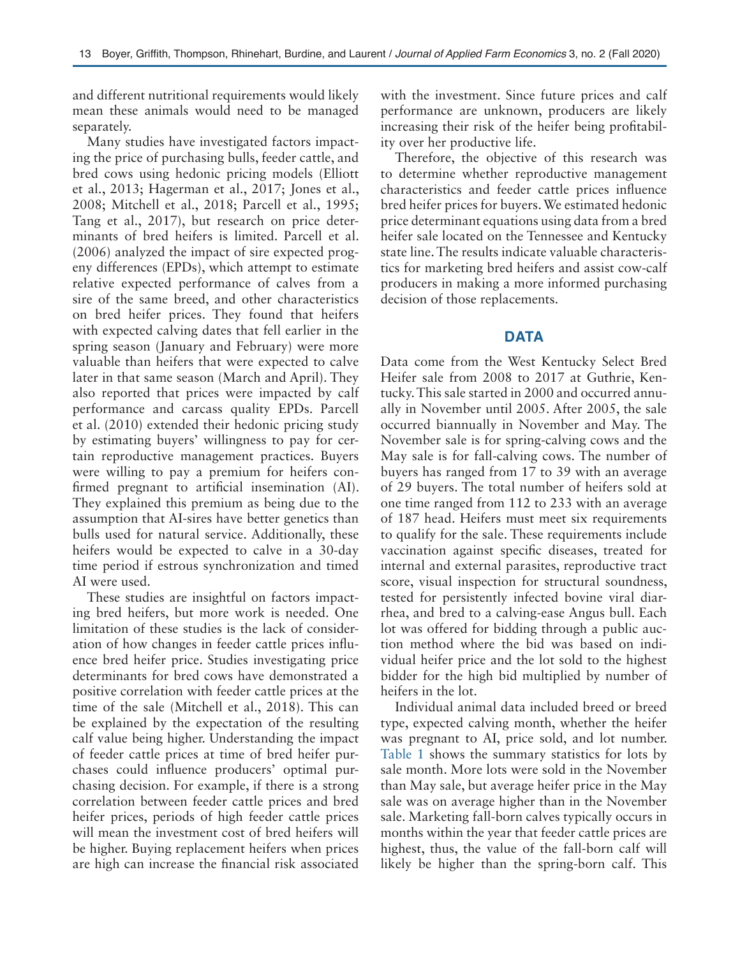and different nutritional requirements would likely mean these animals would need to be managed separately.

Many studies have investigated factors impacting the price of purchasing bulls, feeder cattle, and bred cows using hedonic pricing models (Elliott et al., 2013; Hagerman et al., 2017; Jones et al., 2008; Mitchell et al., 2018; Parcell et al., 1995; Tang et al., 2017), but research on price determinants of bred heifers is limited. Parcell et al. (2006) analyzed the impact of sire expected progeny differences (EPDs), which attempt to estimate relative expected performance of calves from a sire of the same breed, and other characteristics on bred heifer prices. They found that heifers with expected calving dates that fell earlier in the spring season (January and February) were more valuable than heifers that were expected to calve later in that same season (March and April). They also reported that prices were impacted by calf performance and carcass quality EPDs. Parcell et al. (2010) extended their hedonic pricing study by estimating buyers' willingness to pay for certain reproductive management practices. Buyers were willing to pay a premium for heifers confirmed pregnant to artificial insemination (AI). They explained this premium as being due to the assumption that AI-sires have better genetics than bulls used for natural service. Additionally, these heifers would be expected to calve in a 30-day time period if estrous synchronization and timed AI were used.

These studies are insightful on factors impacting bred heifers, but more work is needed. One limitation of these studies is the lack of consideration of how changes in feeder cattle prices influence bred heifer price. Studies investigating price determinants for bred cows have demonstrated a positive correlation with feeder cattle prices at the time of the sale (Mitchell et al., 2018). This can be explained by the expectation of the resulting calf value being higher. Understanding the impact of feeder cattle prices at time of bred heifer purchases could influence producers' optimal purchasing decision. For example, if there is a strong correlation between feeder cattle prices and bred heifer prices, periods of high feeder cattle prices will mean the investment cost of bred heifers will be higher. Buying replacement heifers when prices are high can increase the financial risk associated

with the investment. Since future prices and calf performance are unknown, producers are likely increasing their risk of the heifer being profitability over her productive life.

Therefore, the objective of this research was to determine whether reproductive management characteristics and feeder cattle prices influence bred heifer prices for buyers. We estimated hedonic price determinant equations using data from a bred heifer sale located on the Tennessee and Kentucky state line. The results indicate valuable characteristics for marketing bred heifers and assist cow-calf producers in making a more informed purchasing decision of those replacements.

## **DATA**

Data come from the West Kentucky Select Bred Heifer sale from 2008 to 2017 at Guthrie, Kentucky. This sale started in 2000 and occurred annually in November until 2005. After 2005, the sale occurred biannually in November and May. The November sale is for spring-calving cows and the May sale is for fall-calving cows. The number of buyers has ranged from 17 to 39 with an average of 29 buyers. The total number of heifers sold at one time ranged from 112 to 233 with an average of 187 head. Heifers must meet six requirements to qualify for the sale. These requirements include vaccination against specific diseases, treated for internal and external parasites, reproductive tract score, visual inspection for structural soundness, tested for persistently infected bovine viral diarrhea, and bred to a calving-ease Angus bull. Each lot was offered for bidding through a public auction method where the bid was based on individual heifer price and the lot sold to the highest bidder for the high bid multiplied by number of heifers in the lot.

Individual animal data included breed or breed type, expected calving month, whether the heifer was pregnant to AI, price sold, and lot number. Table 1 shows the summary statistics for lots by sale month. More lots were sold in the November than May sale, but average heifer price in the May sale was on average higher than in the November sale. Marketing fall-born calves typically occurs in months within the year that feeder cattle prices are highest, thus, the value of the fall-born calf will likely be higher than the spring-born calf. This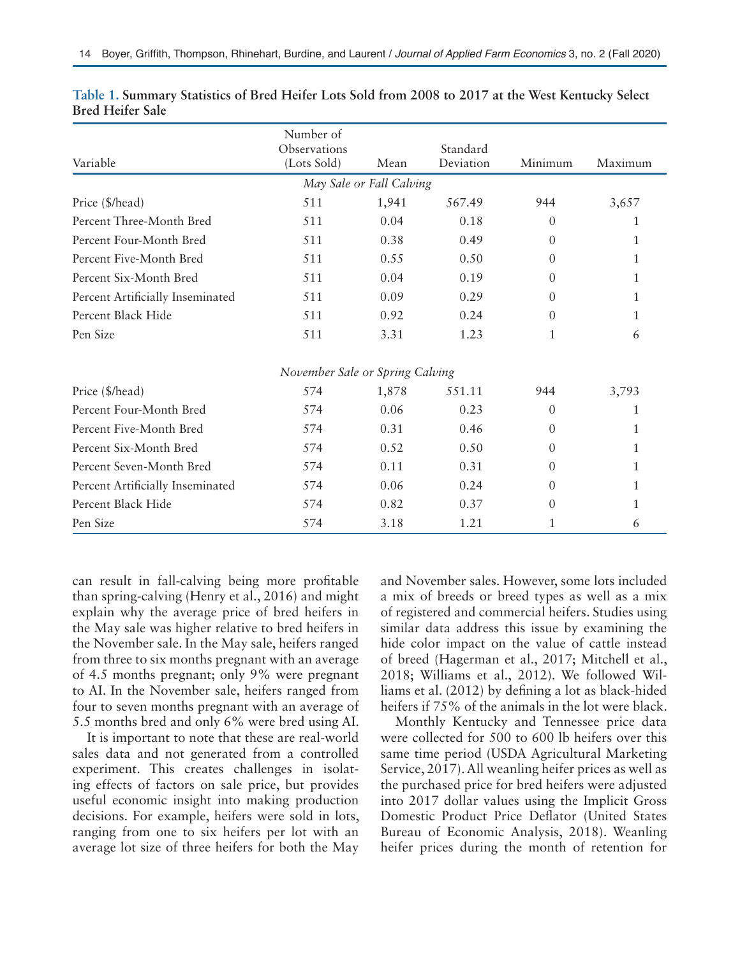| Number of                        |                             |                          |                       |                |         |  |  |  |  |  |
|----------------------------------|-----------------------------|--------------------------|-----------------------|----------------|---------|--|--|--|--|--|
| Variable                         | Observations<br>(Lots Sold) | Mean                     | Standard<br>Deviation | Minimum        | Maximum |  |  |  |  |  |
|                                  |                             | May Sale or Fall Calving |                       |                |         |  |  |  |  |  |
| Price (\$/head)                  | 511                         | 1,941                    | 567.49                | 944            | 3,657   |  |  |  |  |  |
| Percent Three-Month Bred         | 511                         | 0.04                     | 0.18                  | $\theta$       |         |  |  |  |  |  |
| Percent Four-Month Bred          | 511                         | 0.38                     | 0.49                  | $\Omega$       | 1       |  |  |  |  |  |
| Percent Five-Month Bred          | 511                         | 0.55                     | 0.50                  | $\theta$       | 1       |  |  |  |  |  |
| Percent Six-Month Bred           | 511                         | 0.04                     | 0.19                  | $\Omega$       | 1       |  |  |  |  |  |
| Percent Artificially Inseminated | 511                         | 0.09                     | 0.29                  | $\theta$       | 1       |  |  |  |  |  |
| Percent Black Hide               | 511                         | 0.92                     | 0.24                  | $\theta$       | 1       |  |  |  |  |  |
| Pen Size                         | 511                         | 3.31                     | 1.23                  | $\mathbf{1}$   | 6       |  |  |  |  |  |
| November Sale or Spring Calving  |                             |                          |                       |                |         |  |  |  |  |  |
| Price (\$/head)                  | 574                         | 1,878                    | 551.11                | 944            | 3,793   |  |  |  |  |  |
| Percent Four-Month Bred          | 574                         | 0.06                     | 0.23                  | $\overline{0}$ | 1       |  |  |  |  |  |
| Percent Five-Month Bred          | 574                         | 0.31                     | 0.46                  | $\Omega$       | 1       |  |  |  |  |  |
| Percent Six-Month Bred           | 574                         | 0.52                     | 0.50                  | $\Omega$       | 1       |  |  |  |  |  |
| Percent Seven-Month Bred         | 574                         | 0.11                     | 0.31                  | $\theta$       | 1       |  |  |  |  |  |
| Percent Artificially Inseminated | 574                         | 0.06                     | 0.24                  | $\theta$       |         |  |  |  |  |  |
| Percent Black Hide               | 574                         | 0.82                     | 0.37                  | $\Omega$       |         |  |  |  |  |  |
| Pen Size                         | 574                         | 3.18                     | 1.21                  | 1              | 6       |  |  |  |  |  |

| Table 1. Summary Statistics of Bred Heifer Lots Sold from 2008 to 2017 at the West Kentucky Select |  |  |  |  |  |  |
|----------------------------------------------------------------------------------------------------|--|--|--|--|--|--|
| <b>Bred Heifer Sale</b>                                                                            |  |  |  |  |  |  |

can result in fall-calving being more profitable than spring-calving (Henry et al., 2016) and might explain why the average price of bred heifers in the May sale was higher relative to bred heifers in the November sale. In the May sale, heifers ranged from three to six months pregnant with an average of 4.5 months pregnant; only 9% were pregnant to AI. In the November sale, heifers ranged from four to seven months pregnant with an average of 5.5 months bred and only 6% were bred using AI.

It is important to note that these are real-world sales data and not generated from a controlled experiment. This creates challenges in isolating effects of factors on sale price, but provides useful economic insight into making production decisions. For example, heifers were sold in lots, ranging from one to six heifers per lot with an average lot size of three heifers for both the May and November sales. However, some lots included a mix of breeds or breed types as well as a mix of registered and commercial heifers. Studies using similar data address this issue by examining the hide color impact on the value of cattle instead of breed (Hagerman et al., 2017; Mitchell et al., 2018; Williams et al., 2012). We followed Williams et al. (2012) by defining a lot as black-hided heifers if 75% of the animals in the lot were black.

Monthly Kentucky and Tennessee price data were collected for 500 to 600 lb heifers over this same time period (USDA Agricultural Marketing Service, 2017). All weanling heifer prices as well as the purchased price for bred heifers were adjusted into 2017 dollar values using the Implicit Gross Domestic Product Price Deflator (United States Bureau of Economic Analysis, 2018). Weanling heifer prices during the month of retention for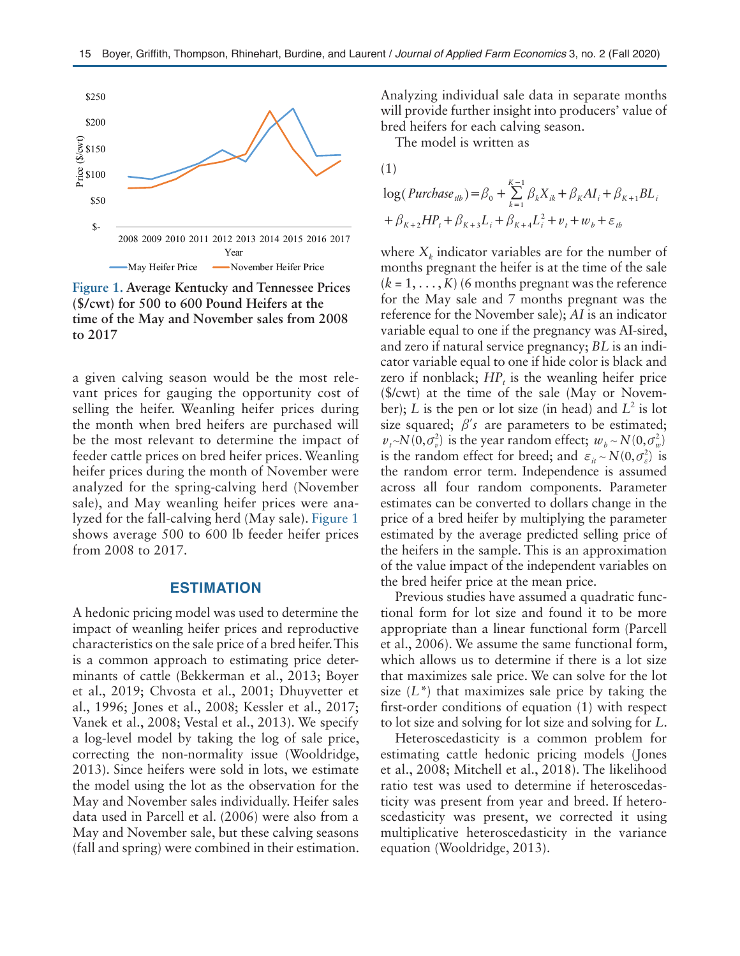

**Figure 1. Average Kentucky and Tennessee Prices (\$/cwt) for 500 to 600 Pound Heifers at the time of the May and November sales from 2008 to 2017**

a given calving season would be the most relevant prices for gauging the opportunity cost of selling the heifer. Weanling heifer prices during the month when bred heifers are purchased will be the most relevant to determine the impact of feeder cattle prices on bred heifer prices. Weanling heifer prices during the month of November were analyzed for the spring-calving herd (November sale), and May weanling heifer prices were analyzed for the fall-calving herd (May sale). Figure 1 shows average 500 to 600 lb feeder heifer prices from 2008 to 2017.

### **ESTIMATION**

A hedonic pricing model was used to determine the impact of weanling heifer prices and reproductive characteristics on the sale price of a bred heifer. This is a common approach to estimating price determinants of cattle (Bekkerman et al., 2013; Boyer et al., 2019; Chvosta et al., 2001; Dhuyvetter et al., 1996; Jones et al., 2008; Kessler et al., 2017; Vanek et al., 2008; Vestal et al., 2013). We specify a log-level model by taking the log of sale price, correcting the non-normality issue (Wooldridge, 2013). Since heifers were sold in lots, we estimate the model using the lot as the observation for the May and November sales individually. Heifer sales data used in Parcell et al. (2006) were also from a May and November sale, but these calving seasons (fall and spring) were combined in their estimation. Analyzing individual sale data in separate months will provide further insight into producers' value of bred heifers for each calving season.

The model is written as

$$
(1)
$$

$$
\log(Purchase_{ilb}) = \beta_0 + \sum_{k=1}^{K-1} \beta_k X_{ik} + \beta_K A I_i + \beta_{K+1} B L_i
$$
  
+  $\beta_{K+2} H P_i + \beta_{K+3} L_i + \beta_{K+4} L_i^2 + v_i + w_b + \varepsilon_{ib}$ 

where  $X_k$  indicator variables are for the number of months pregnant the heifer is at the time of the sale  $(k = 1, \ldots, K)$  (6 months pregnant was the reference for the May sale and 7 months pregnant was the reference for the November sale); *AI* is an indicator variable equal to one if the pregnancy was AI-sired, and zero if natural service pregnancy; *BL* is an indicator variable equal to one if hide color is black and zero if nonblack;  $HP<sub>t</sub>$  is the weanling heifer price (\$/cwt) at the time of the sale (May or November); *L* is the pen or lot size (in head) and  $L^2$  is lot size squared;  $\beta$ 's are parameters to be estimated;  $v_{t}$ ~ $N(0, \sigma_{v}^{2})$  is the year random effect;  $w_{b}$ ~ $N(0, \sigma_{w}^{2})$ is the random effect for breed; and  $\varepsilon_{it} \sim N(0, \sigma_{\varepsilon}^2)$  is the random error term. Independence is assumed across all four random components. Parameter estimates can be converted to dollars change in the price of a bred heifer by multiplying the parameter estimated by the average predicted selling price of the heifers in the sample. This is an approximation of the value impact of the independent variables on the bred heifer price at the mean price.

Previous studies have assumed a quadratic functional form for lot size and found it to be more appropriate than a linear functional form (Parcell et al., 2006). We assume the same functional form, which allows us to determine if there is a lot size that maximizes sale price. We can solve for the lot size (*L\**) that maximizes sale price by taking the first-order conditions of equation (1) with respect to lot size and solving for lot size and solving for *L*.

Heteroscedasticity is a common problem for estimating cattle hedonic pricing models (Jones et al., 2008; Mitchell et al., 2018). The likelihood ratio test was used to determine if heteroscedasticity was present from year and breed. If heteroscedasticity was present, we corrected it using multiplicative heteroscedasticity in the variance equation (Wooldridge, 2013).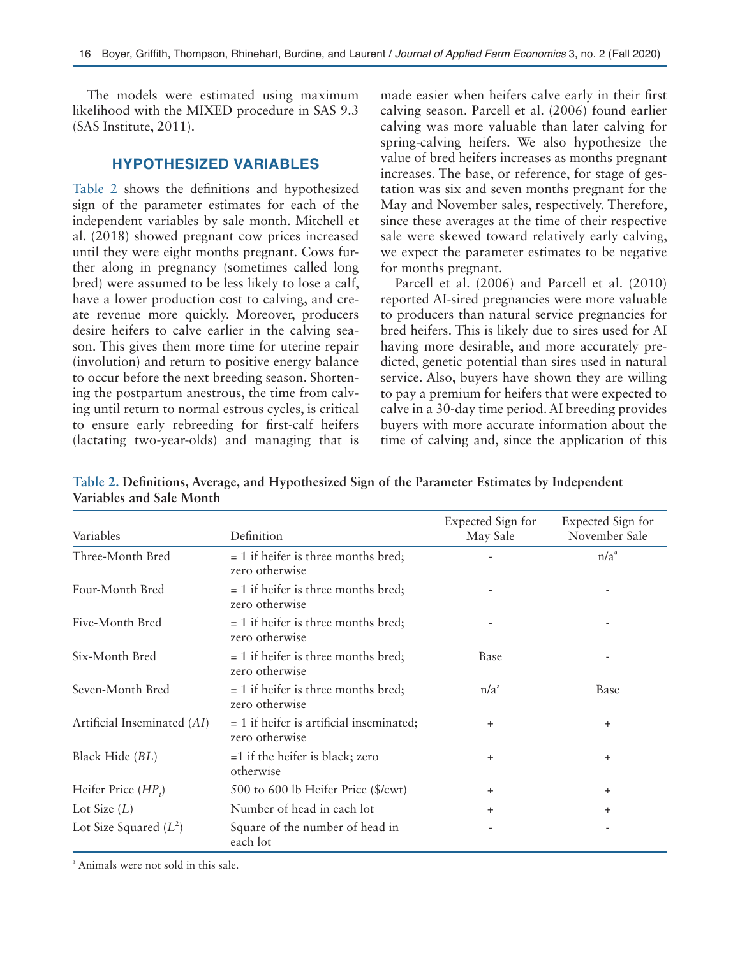The models were estimated using maximum likelihood with the MIXED procedure in SAS 9.3 (SAS Institute, 2011).

## **HYPOTHESIZED VARIABLES**

Table 2 shows the definitions and hypothesized sign of the parameter estimates for each of the independent variables by sale month. Mitchell et al. (2018) showed pregnant cow prices increased until they were eight months pregnant. Cows further along in pregnancy (sometimes called long bred) were assumed to be less likely to lose a calf, have a lower production cost to calving, and create revenue more quickly. Moreover, producers desire heifers to calve earlier in the calving season. This gives them more time for uterine repair (involution) and return to positive energy balance to occur before the next breeding season. Shortening the postpartum anestrous, the time from calving until return to normal estrous cycles, is critical to ensure early rebreeding for first-calf heifers (lactating two-year-olds) and managing that is

made easier when heifers calve early in their first calving season. Parcell et al. (2006) found earlier calving was more valuable than later calving for spring-calving heifers. We also hypothesize the value of bred heifers increases as months pregnant increases. The base, or reference, for stage of gestation was six and seven months pregnant for the May and November sales, respectively. Therefore, since these averages at the time of their respective sale were skewed toward relatively early calving, we expect the parameter estimates to be negative for months pregnant.

Parcell et al. (2006) and Parcell et al. (2010) reported AI-sired pregnancies were more valuable to producers than natural service pregnancies for bred heifers. This is likely due to sires used for AI having more desirable, and more accurately predicted, genetic potential than sires used in natural service. Also, buyers have shown they are willing to pay a premium for heifers that were expected to calve in a 30-day time period. AI breeding provides buyers with more accurate information about the time of calving and, since the application of this

| Variables                   | Definition                                                   | Expected Sign for<br>May Sale | Expected Sign for<br>November Sale |
|-----------------------------|--------------------------------------------------------------|-------------------------------|------------------------------------|
| Three-Month Bred            | $= 1$ if heifer is three months bred;<br>zero otherwise      |                               | n/a <sup>a</sup>                   |
| Four-Month Bred             | $= 1$ if heifer is three months bred;<br>zero otherwise      |                               |                                    |
| Five-Month Bred             | $= 1$ if heifer is three months bred;<br>zero otherwise      |                               | $\overline{\phantom{a}}$           |
| Six-Month Bred              | $= 1$ if heifer is three months bred;<br>zero otherwise      | Base                          |                                    |
| Seven-Month Bred            | $= 1$ if heifer is three months bred;<br>zero otherwise      | n/a <sup>a</sup>              | Base                               |
| Artificial Inseminated (AI) | $= 1$ if heifer is artificial inseminated;<br>zero otherwise | $\ddot{}$                     | $\ddot{}$                          |
| Black Hide (BL)             | $=1$ if the heifer is black; zero<br>otherwise               | $\ddot{}$                     | $\ddot{}$                          |
| Heifer Price $(HP_i)$       | 500 to 600 lb Heifer Price (\$/cwt)                          | $+$                           | $\ddot{}$                          |
| Lot Size $(L)$              | Number of head in each lot                                   | $+$                           | $+$                                |
| Lot Size Squared $(L^2)$    | Square of the number of head in<br>each lot                  |                               | $\overline{\phantom{a}}$           |

**Table 2. Definitions, Average, and Hypothesized Sign of the Parameter Estimates by Independent Variables and Sale Month**

a Animals were not sold in this sale.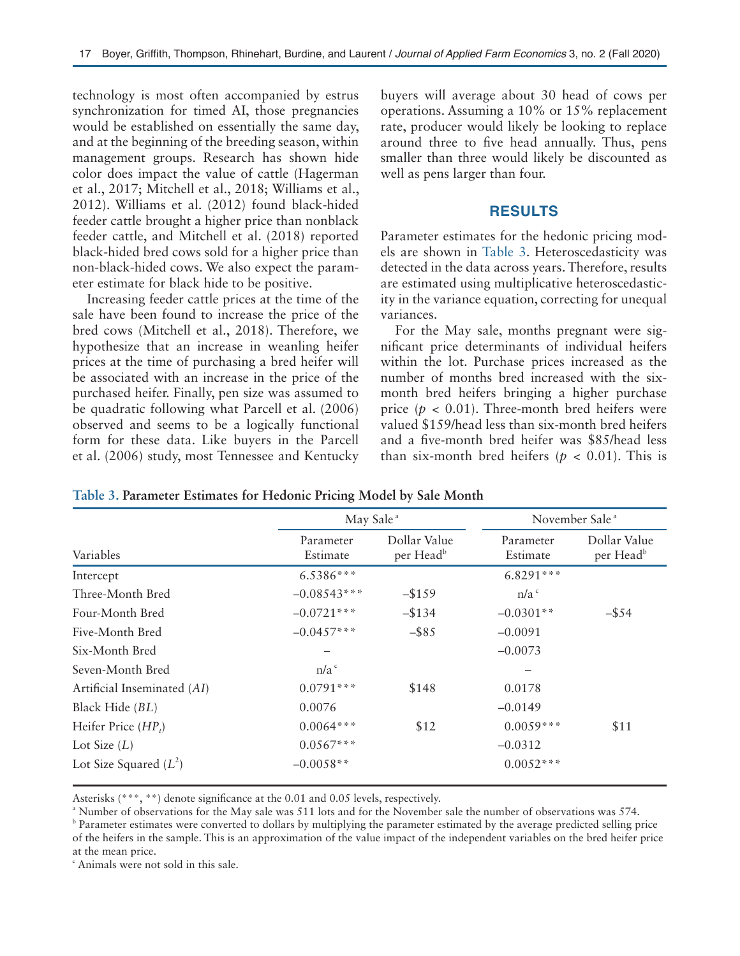technology is most often accompanied by estrus synchronization for timed AI, those pregnancies would be established on essentially the same day, and at the beginning of the breeding season, within management groups. Research has shown hide color does impact the value of cattle (Hagerman et al., 2017; Mitchell et al., 2018; Williams et al., 2012). Williams et al. (2012) found black-hided feeder cattle brought a higher price than nonblack feeder cattle, and Mitchell et al. (2018) reported black-hided bred cows sold for a higher price than non-black-hided cows. We also expect the parameter estimate for black hide to be positive.

Increasing feeder cattle prices at the time of the sale have been found to increase the price of the bred cows (Mitchell et al., 2018). Therefore, we hypothesize that an increase in weanling heifer prices at the time of purchasing a bred heifer will be associated with an increase in the price of the purchased heifer. Finally, pen size was assumed to be quadratic following what Parcell et al. (2006) observed and seems to be a logically functional form for these data. Like buyers in the Parcell et al. (2006) study, most Tennessee and Kentucky

buyers will average about 30 head of cows per operations. Assuming a 10% or 15% replacement rate, producer would likely be looking to replace around three to five head annually. Thus, pens smaller than three would likely be discounted as well as pens larger than four.

## **RESULTS**

Parameter estimates for the hedonic pricing models are shown in Table 3. Heteroscedasticity was detected in the data across years. Therefore, results are estimated using multiplicative heteroscedasticity in the variance equation, correcting for unequal variances.

For the May sale, months pregnant were significant price determinants of individual heifers within the lot. Purchase prices increased as the number of months bred increased with the sixmonth bred heifers bringing a higher purchase price  $(p < 0.01)$ . Three-month bred heifers were valued \$159/head less than six-month bred heifers and a five-month bred heifer was \$85/head less than six-month bred heifers ( $p < 0.01$ ). This is

|                             | May Sale <sup>a</sup> |                                       | November Sale <sup>a</sup> |                                       |  |
|-----------------------------|-----------------------|---------------------------------------|----------------------------|---------------------------------------|--|
| Variables                   | Parameter<br>Estimate | Dollar Value<br>per Head <sup>b</sup> | Parameter<br>Estimate      | Dollar Value<br>per Head <sup>b</sup> |  |
| Intercept                   | 6.5386***             |                                       | $6.8291***$                |                                       |  |
| Three-Month Bred            | $-0.08543***$         | $-$ \$159                             | n/a <sup>c</sup>           |                                       |  |
| Four-Month Bred             | $-0.0721***$          | $-$ \$134                             | $-0.0301**$                | $-$ \$54                              |  |
| Five-Month Bred             | $-0.0457***$          | $-$ \$85                              | $-0.0091$                  |                                       |  |
| Six-Month Bred              |                       |                                       | $-0.0073$                  |                                       |  |
| Seven-Month Bred            | n/a <sup>c</sup>      |                                       |                            |                                       |  |
| Artificial Inseminated (AI) | $0.0791***$           | \$148                                 | 0.0178                     |                                       |  |
| Black Hide (BL)             | 0.0076                |                                       | $-0.0149$                  |                                       |  |
| Heifer Price $(HP_i)$       | $0.0064***$           | \$12                                  | $0.0059***$                | \$11                                  |  |
| Lot Size $(L)$              | $0.0567***$           |                                       | $-0.0312$                  |                                       |  |
| Lot Size Squared $(L^2)$    | $-0.0058**$           |                                       | $0.0052***$                |                                       |  |

**Table 3. Parameter Estimates for Hedonic Pricing Model by Sale Month**

Asterisks (\*\*\*, \*\*) denote significance at the 0.01 and 0.05 levels, respectively.

a Number of observations for the May sale was 511 lots and for the November sale the number of observations was 574.

<sup>b</sup> Parameter estimates were converted to dollars by multiplying the parameter estimated by the average predicted selling price of the heifers in the sample. This is an approximation of the value impact of the independent variables on the bred heifer price at the mean price.

c Animals were not sold in this sale.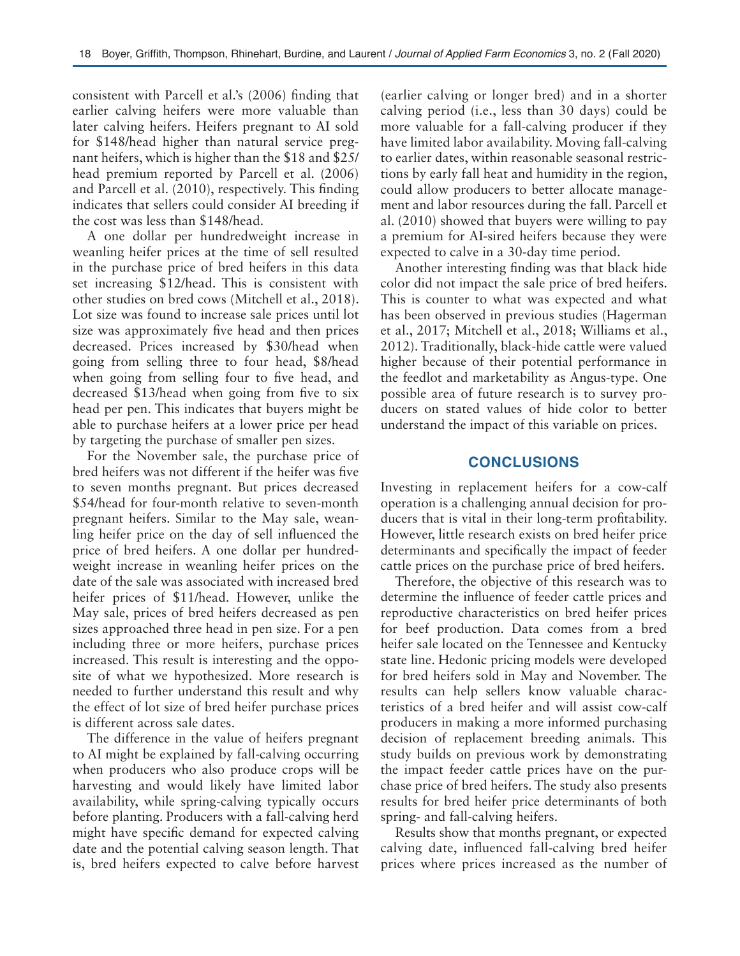consistent with Parcell et al.'s (2006) finding that earlier calving heifers were more valuable than later calving heifers. Heifers pregnant to AI sold for \$148/head higher than natural service pregnant heifers, which is higher than the \$18 and \$25/ head premium reported by Parcell et al. (2006) and Parcell et al. (2010), respectively. This finding indicates that sellers could consider AI breeding if the cost was less than \$148/head.

A one dollar per hundredweight increase in weanling heifer prices at the time of sell resulted in the purchase price of bred heifers in this data set increasing \$12/head. This is consistent with other studies on bred cows (Mitchell et al., 2018). Lot size was found to increase sale prices until lot size was approximately five head and then prices decreased. Prices increased by \$30/head when going from selling three to four head, \$8/head when going from selling four to five head, and decreased \$13/head when going from five to six head per pen. This indicates that buyers might be able to purchase heifers at a lower price per head by targeting the purchase of smaller pen sizes.

For the November sale, the purchase price of bred heifers was not different if the heifer was five to seven months pregnant. But prices decreased \$54/head for four-month relative to seven-month pregnant heifers. Similar to the May sale, weanling heifer price on the day of sell influenced the price of bred heifers. A one dollar per hundredweight increase in weanling heifer prices on the date of the sale was associated with increased bred heifer prices of \$11/head. However, unlike the May sale, prices of bred heifers decreased as pen sizes approached three head in pen size. For a pen including three or more heifers, purchase prices increased. This result is interesting and the opposite of what we hypothesized. More research is needed to further understand this result and why the effect of lot size of bred heifer purchase prices is different across sale dates.

The difference in the value of heifers pregnant to AI might be explained by fall-calving occurring when producers who also produce crops will be harvesting and would likely have limited labor availability, while spring-calving typically occurs before planting. Producers with a fall-calving herd might have specific demand for expected calving date and the potential calving season length. That is, bred heifers expected to calve before harvest

(earlier calving or longer bred) and in a shorter calving period (i.e., less than 30 days) could be more valuable for a fall-calving producer if they have limited labor availability. Moving fall-calving to earlier dates, within reasonable seasonal restrictions by early fall heat and humidity in the region, could allow producers to better allocate management and labor resources during the fall. Parcell et al. (2010) showed that buyers were willing to pay a premium for AI-sired heifers because they were expected to calve in a 30-day time period.

Another interesting finding was that black hide color did not impact the sale price of bred heifers. This is counter to what was expected and what has been observed in previous studies (Hagerman et al., 2017; Mitchell et al., 2018; Williams et al., 2012). Traditionally, black-hide cattle were valued higher because of their potential performance in the feedlot and marketability as Angus-type. One possible area of future research is to survey producers on stated values of hide color to better understand the impact of this variable on prices.

## **CONCLUSIONS**

Investing in replacement heifers for a cow-calf operation is a challenging annual decision for producers that is vital in their long-term profitability. However, little research exists on bred heifer price determinants and specifically the impact of feeder cattle prices on the purchase price of bred heifers.

Therefore, the objective of this research was to determine the influence of feeder cattle prices and reproductive characteristics on bred heifer prices for beef production. Data comes from a bred heifer sale located on the Tennessee and Kentucky state line. Hedonic pricing models were developed for bred heifers sold in May and November. The results can help sellers know valuable characteristics of a bred heifer and will assist cow-calf producers in making a more informed purchasing decision of replacement breeding animals. This study builds on previous work by demonstrating the impact feeder cattle prices have on the purchase price of bred heifers. The study also presents results for bred heifer price determinants of both spring- and fall-calving heifers.

Results show that months pregnant, or expected calving date, influenced fall-calving bred heifer prices where prices increased as the number of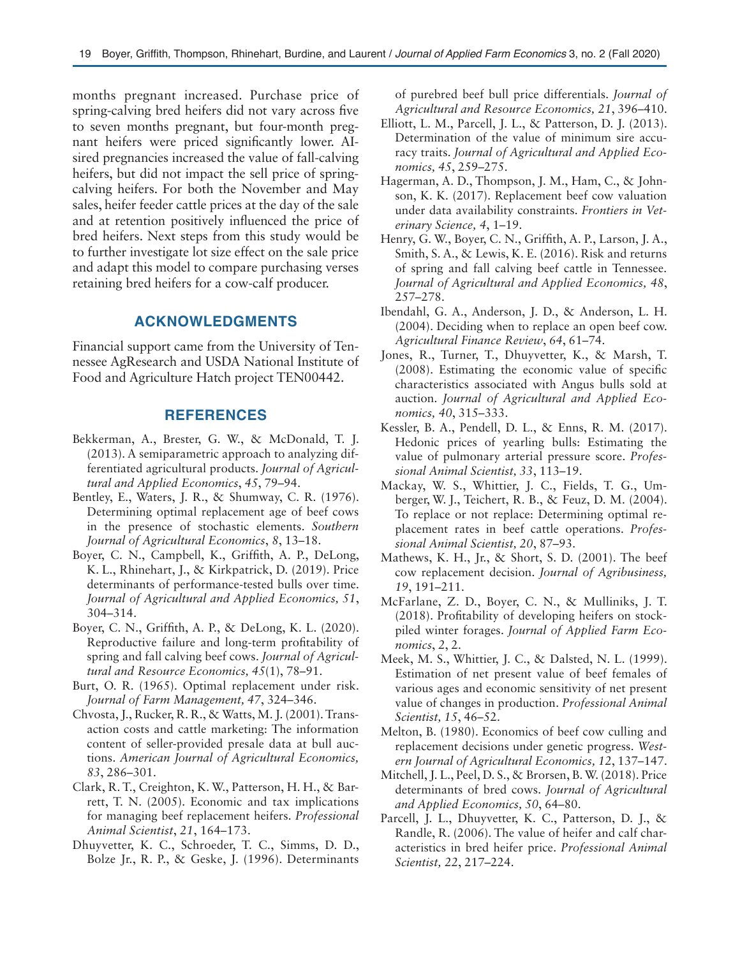months pregnant increased. Purchase price of spring-calving bred heifers did not vary across five to seven months pregnant, but four-month pregnant heifers were priced significantly lower. AIsired pregnancies increased the value of fall-calving heifers, but did not impact the sell price of springcalving heifers. For both the November and May sales, heifer feeder cattle prices at the day of the sale and at retention positively influenced the price of bred heifers. Next steps from this study would be to further investigate lot size effect on the sale price and adapt this model to compare purchasing verses retaining bred heifers for a cow-calf producer.

## **ACKNOWLEDGMENTS**

Financial support came from the University of Tennessee AgResearch and USDA National Institute of Food and Agriculture Hatch project TEN00442.

### **REFERENCES**

- Bekkerman, A., Brester, G. W., & McDonald, T. J. (2013). A semiparametric approach to analyzing differentiated agricultural products. *Journal of Agricultural and Applied Economics*, *45*, 79–94.
- Bentley, E., Waters, J. R., & Shumway, C. R. (1976). Determining optimal replacement age of beef cows in the presence of stochastic elements. *Southern Journal of Agricultural Economics*, *8*, 13–18.
- Boyer, C. N., Campbell, K., Griffith, A. P., DeLong, K. L., Rhinehart, J., & Kirkpatrick, D. (2019). Price determinants of performance-tested bulls over time. *Journal of Agricultural and Applied Economics, 51*, 304–314.
- Boyer, C. N., Griffith, A. P., & DeLong, K. L. (2020). Reproductive failure and long-term profitability of spring and fall calving beef cows. *Journal of Agricultural and Resource Economics, 45*(1), 78–91.
- Burt, O. R. (1965). Optimal replacement under risk. *Journal of Farm Management, 47*, 324–346.
- Chvosta, J., Rucker, R. R., & Watts, M. J. (2001). Transaction costs and cattle marketing: The information content of seller-provided presale data at bull auctions. *American Journal of Agricultural Economics, 83*, 286–301.
- Clark, R. T., Creighton, K. W., Patterson, H. H., & Barrett, T. N. (2005). Economic and tax implications for managing beef replacement heifers. *Professional Animal Scientist*, *21*, 164–173.
- Dhuyvetter, K. C., Schroeder, T. C., Simms, D. D., Bolze Jr., R. P., & Geske, J. (1996). Determinants

of purebred beef bull price differentials. *Journal of Agricultural and Resource Economics, 21*, 396–410.

- Elliott, L. M., Parcell, J. L., & Patterson, D. J. (2013). Determination of the value of minimum sire accuracy traits. *Journal of Agricultural and Applied Economics, 45*, 259–275.
- Hagerman, A. D., Thompson, J. M., Ham, C., & Johnson, K. K. (2017). Replacement beef cow valuation under data availability constraints. *Frontiers in Veterinary Science, 4*, 1–19.
- Henry, G. W., Boyer, C. N., Griffith, A. P., Larson, J. A., Smith, S. A., & Lewis, K. E. (2016). Risk and returns of spring and fall calving beef cattle in Tennessee. *Journal of Agricultural and Applied Economics, 48*, 257–278.
- Ibendahl, G. A., Anderson, J. D., & Anderson, L. H. (2004). Deciding when to replace an open beef cow. *Agricultural Finance Review*, *64*, 61–74.
- Jones, R., Turner, T., Dhuyvetter, K., & Marsh, T. (2008). Estimating the economic value of specific characteristics associated with Angus bulls sold at auction. *Journal of Agricultural and Applied Economics, 40*, 315–333.
- Kessler, B. A., Pendell, D. L., & Enns, R. M. (2017). Hedonic prices of yearling bulls: Estimating the value of pulmonary arterial pressure score. *Professional Animal Scientist, 33*, 113–19.
- Mackay, W. S., Whittier, J. C., Fields, T. G., Umberger, W. J., Teichert, R. B., & Feuz, D. M. (2004). To replace or not replace: Determining optimal replacement rates in beef cattle operations. *Professional Animal Scientist, 20*, 87–93.
- Mathews, K. H., Jr., & Short, S. D. (2001). The beef cow replacement decision. *Journal of Agribusiness, 19*, 191–211.
- McFarlane, Z. D., Boyer, C. N., & Mulliniks, J. T. (2018). Profitability of developing heifers on stockpiled winter forages. *Journal of Applied Farm Economics*, *2*, 2.
- Meek, M. S., Whittier, J. C., & Dalsted, N. L. (1999). Estimation of net present value of beef females of various ages and economic sensitivity of net present value of changes in production. *Professional Animal Scientist, 15*, 46–52.
- Melton, B. (1980). Economics of beef cow culling and replacement decisions under genetic progress. *Western Journal of Agricultural Economics, 12*, 137–147.
- Mitchell, J. L., Peel, D. S., & Brorsen, B. W. (2018). Price determinants of bred cows. *Journal of Agricultural and Applied Economics, 50*, 64–80.
- Parcell, J. L., Dhuyvetter, K. C., Patterson, D. J., & Randle, R. (2006). The value of heifer and calf characteristics in bred heifer price. *Professional Animal Scientist, 22*, 217–224.